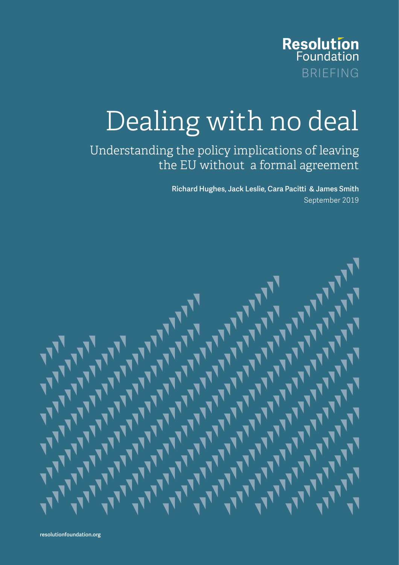

# Dealing with no deal

Understanding the policy implications of leaving the EU without a formal agreement

> Richard Hughes, Jack Leslie, Cara Pacitti & James Smith September 2019

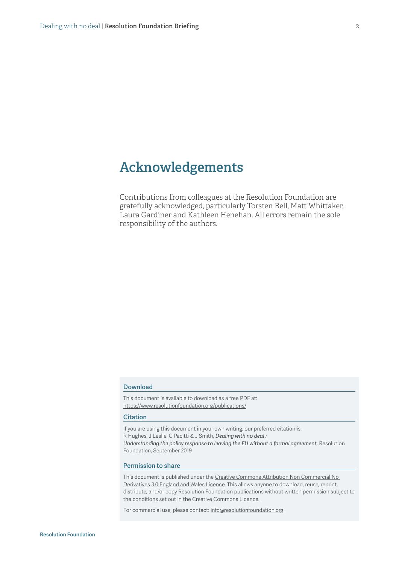# Acknowledgements

Contributions from colleagues at the Resolution Foundation are gratefully acknowledged, particularly Torsten Bell, Matt Whittaker, Laura Gardiner and Kathleen Henehan. All errors remain the sole responsibility of the authors.

#### Download

This document is available to download as a free PDF at: https://www.resolutionfoundation.org/publications/

#### **Citation**

If you are using this document in your own writing, our preferred citation is: R Hughes, J Leslie, C Pacitti & J Smith, *Dealing with no deal : Understanding the policy response to leaving the EU without a formal agreement,* Resolution Foundation, September 2019

#### Permission to share

This document is published under the Creative Commons Attribution Non Commercial No [Derivatives 3.0 England and Wales Licence](https://creativecommons.org/licenses/by-nc-nd/3.0/). This allows anyone to download, reuse, reprint, distribute, and/or copy Resolution Foundation publications without written permission subject to the conditions set out in the Creative Commons Licence.

For commercial use, please contact: [info@resolutionfoundation.org](mailto:info%40resolutionfoundation.org?subject=)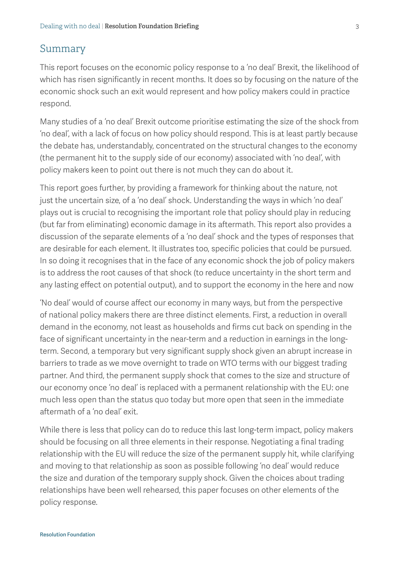#### Summary

This report focuses on the economic policy response to a 'no deal' Brexit, the likelihood of which has risen significantly in recent months. It does so by focusing on the nature of the economic shock such an exit would represent and how policy makers could in practice respond.

Many studies of a 'no deal' Brexit outcome prioritise estimating the size of the shock from 'no deal', with a lack of focus on how policy should respond. This is at least partly because the debate has, understandably, concentrated on the structural changes to the economy (the permanent hit to the supply side of our economy) associated with 'no deal', with policy makers keen to point out there is not much they can do about it.

This report goes further, by providing a framework for thinking about the nature, not just the uncertain size, of a 'no deal' shock. Understanding the ways in which 'no deal' plays out is crucial to recognising the important role that policy should play in reducing (but far from eliminating) economic damage in its aftermath. This report also provides a discussion of the separate elements of a 'no deal' shock and the types of responses that are desirable for each element. It illustrates too, specific policies that could be pursued. In so doing it recognises that in the face of any economic shock the job of policy makers is to address the root causes of that shock (to reduce uncertainty in the short term and any lasting effect on potential output), and to support the economy in the here and now

'No deal' would of course affect our economy in many ways, but from the perspective of national policy makers there are three distinct elements. First, a reduction in overall demand in the economy, not least as households and firms cut back on spending in the face of significant uncertainty in the near-term and a reduction in earnings in the longterm. Second, a temporary but very significant supply shock given an abrupt increase in barriers to trade as we move overnight to trade on WTO terms with our biggest trading partner. And third, the permanent supply shock that comes to the size and structure of our economy once 'no deal' is replaced with a permanent relationship with the EU: one much less open than the status quo today but more open that seen in the immediate aftermath of a 'no deal' exit.

While there is less that policy can do to reduce this last long-term impact, policy makers should be focusing on all three elements in their response. Negotiating a final trading relationship with the EU will reduce the size of the permanent supply hit, while clarifying and moving to that relationship as soon as possible following 'no deal' would reduce the size and duration of the temporary supply shock. Given the choices about trading relationships have been well rehearsed, this paper focuses on other elements of the policy response.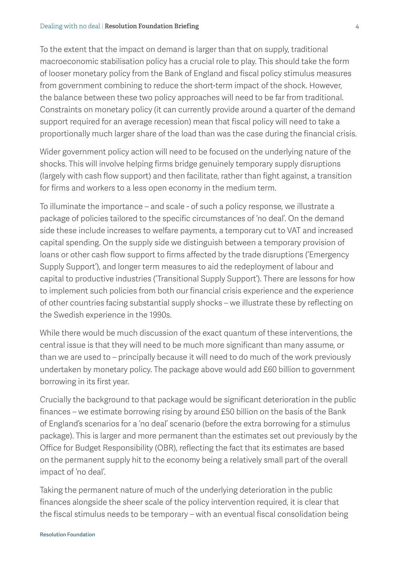#### Dealing with no deal | **Resolution Foundation Briefing**  $\frac{4}{4}$

To the extent that the impact on demand is larger than that on supply, traditional macroeconomic stabilisation policy has a crucial role to play. This should take the form of looser monetary policy from the Bank of England and fiscal policy stimulus measures from government combining to reduce the short-term impact of the shock. However, the balance between these two policy approaches will need to be far from traditional. Constraints on monetary policy (it can currently provide around a quarter of the demand support required for an average recession) mean that fiscal policy will need to take a proportionally much larger share of the load than was the case during the financial crisis.

Wider government policy action will need to be focused on the underlying nature of the shocks. This will involve helping firms bridge genuinely temporary supply disruptions (largely with cash flow support) and then facilitate, rather than fight against, a transition for firms and workers to a less open economy in the medium term.

To illuminate the importance – and scale - of such a policy response, we illustrate a package of policies tailored to the specific circumstances of 'no deal'. On the demand side these include increases to welfare payments, a temporary cut to VAT and increased capital spending. On the supply side we distinguish between a temporary provision of loans or other cash flow support to firms affected by the trade disruptions ('Emergency Supply Support'), and longer term measures to aid the redeployment of labour and capital to productive industries ('Transitional Supply Support'). There are lessons for how to implement such policies from both our financial crisis experience and the experience of other countries facing substantial supply shocks – we illustrate these by reflecting on the Swedish experience in the 1990s.

While there would be much discussion of the exact quantum of these interventions, the central issue is that they will need to be much more significant than many assume, or than we are used to – principally because it will need to do much of the work previously undertaken by monetary policy. The package above would add £60 billion to government borrowing in its first year.

Crucially the background to that package would be significant deterioration in the public finances – we estimate borrowing rising by around £50 billion on the basis of the Bank of England's scenarios for a 'no deal' scenario (before the extra borrowing for a stimulus package). This is larger and more permanent than the estimates set out previously by the Office for Budget Responsibility (OBR), reflecting the fact that its estimates are based on the permanent supply hit to the economy being a relatively small part of the overall impact of 'no deal'.

Taking the permanent nature of much of the underlying deterioration in the public finances alongside the sheer scale of the policy intervention required, it is clear that the fiscal stimulus needs to be temporary – with an eventual fiscal consolidation being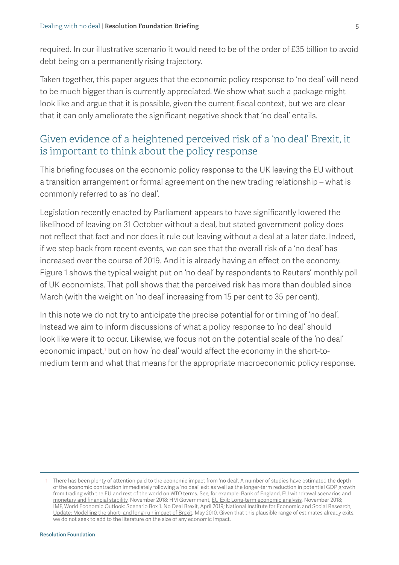required. In our illustrative scenario it would need to be of the order of £35 billion to avoid debt being on a permanently rising trajectory.

Taken together, this paper argues that the economic policy response to 'no deal' will need to be much bigger than is currently appreciated. We show what such a package might look like and argue that it is possible, given the current fiscal context, but we are clear that it can only ameliorate the significant negative shock that 'no deal' entails.

## Given evidence of a heightened perceived risk of a 'no deal' Brexit, it is important to think about the policy response

This briefing focuses on the economic policy response to the UK leaving the EU without a transition arrangement or formal agreement on the new trading relationship – what is commonly referred to as 'no deal'.

Legislation recently enacted by Parliament appears to have significantly lowered the likelihood of leaving on 31 October without a deal, but stated government policy does not reflect that fact and nor does it rule out leaving without a deal at a later date. Indeed, if we step back from recent events, we can see that the overall risk of a 'no deal' has increased over the course of 2019. And it is already having an effect on the economy. [Figure 1](#page-5-0) shows the typical weight put on 'no deal' by respondents to Reuters' monthly poll of UK economists. That poll shows that the perceived risk has more than doubled since March (with the weight on 'no deal' increasing from 15 per cent to 35 per cent).

In this note we do not try to anticipate the precise potential for or timing of 'no deal'. Instead we aim to inform discussions of what a policy response to 'no deal' should look like were it to occur. Likewise, we focus not on the potential scale of the 'no deal' economic impact,' but on how 'no deal' would affect the economy in the short-tomedium term and what that means for the appropriate macroeconomic policy response.

<sup>1</sup> There has been plenty of attention paid to the economic impact from 'no deal'. A number of studies have estimated the depth of the economic contraction immediately following a 'no deal' exit as well as the longer-term reduction in potential GDP growth from trading with the EU and rest of the world on WTO terms. See, for example: Bank of England, EU withdrawal scenarios and [monetary and financial stability](https://www.bankofengland.co.uk/-/media/boe/files/report/2018/eu-withdrawal-scenarios-and-monetary-and-financial-stability.pdf?la=en&hash=B5F6EDCDF90DCC10286FC0BC599D94CAB8735DFB), November 2018; HM Government, [EU Exit: Long-term economic analysis](https://assets.publishing.service.gov.uk/government/uploads/system/uploads/attachment_data/file/760484/28_November_EU_Exit_-_Long-term_economic_analysis__1_.pdf), November 2018; [IMF, World Economic Outlook: Scenario Box 1. No Deal Brexit](https://www.imf.org/en/Publications/WEO/Issues/2019/03/28/world-economic-outlook-april-2019), April 2019; National Institute for Economic and Social Research, [Update: Modelling the short- and long-run impact of Brexit](https://www.niesr.ac.uk/sites/default/files/publications/NiGEM%20Observation%2014%20-Modelling%20the%20short%20and%20long%20run%20impact%20of%20Brexit.pdf), May 2010. Given that this plausible range of estimates already exits, we do not seek to add to the literature on the size of any economic impact.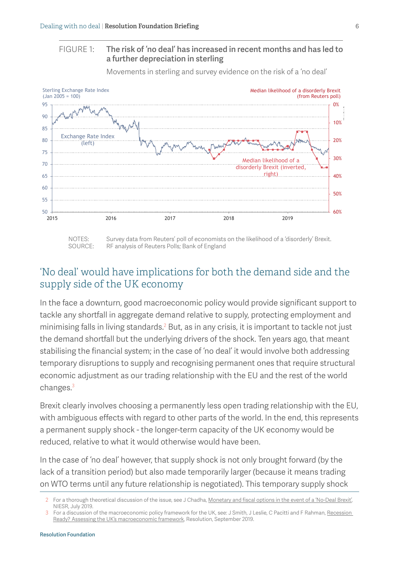#### <span id="page-5-0"></span>FIGURE 1: The risk of 'no deal' has increased in recent months and has led to a further depreciation in sterling



Movements in sterling and survey evidence on the risk of a 'no deal'

NOTES: Survey data from Reuters' poll of economists on the likelihood of a 'disorderly' Brexit. SOURCE: RF analysis of Reuters Polls; Bank of England

## 'No deal' would have implications for both the demand side and the supply side of the UK economy

In the face a downturn, good macroeconomic policy would provide significant support to tackle any shortfall in aggregate demand relative to supply, protecting employment and minimising falls in living standards.2 But, as in any crisis, it is important to tackle not just the demand shortfall but the underlying drivers of the shock. Ten years ago, that meant stabilising the financial system; in the case of 'no deal' it would involve both addressing temporary disruptions to supply and recognising permanent ones that require structural economic adjustment as our trading relationship with the EU and the rest of the world changes.3

Brexit clearly involves choosing a permanently less open trading relationship with the EU, with ambiguous effects with regard to other parts of the world. In the end, this represents a permanent supply shock - the longer-term capacity of the UK economy would be reduced, relative to what it would otherwise would have been.

In the case of 'no deal' however, that supply shock is not only brought forward (by the lack of a transition period) but also made temporarily larger (because it means trading on WTO terms until any future relationship is negotiated). This temporary supply shock

<sup>2</sup> For a thorough theoretical discussion of the issue, see J Chadha, [Monetary and fiscal options in the event of a 'No-Deal Brexit',](https://www.niesr.ac.uk/publications/commentary-monetary-and-fiscal-options-event-%E2%80%98no-deal-brexit%E2%80%99) NIESR, July 2019.

<sup>3</sup> For a discussion of the macroeconomic policy framework for the UK, see: J Smith, J Leslie, C Pacitti and F Rahman, [Recession](https://www.resolutionfoundation.org/app/uploads/2019/09/MPU-paper.pdf)  [Ready? Assessing the UK's macroeconomic framework](https://www.resolutionfoundation.org/app/uploads/2019/09/MPU-paper.pdf), Resolution, September 2019.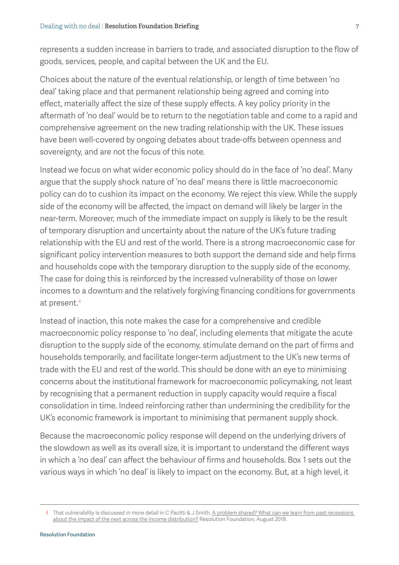represents a sudden increase in barriers to trade, and associated disruption to the flow of goods, services, people, and capital between the UK and the EU.

Choices about the nature of the eventual relationship, or length of time between 'no deal' taking place and that permanent relationship being agreed and coming into effect, materially affect the size of these supply effects. A key policy priority in the aftermath of 'no deal' would be to return to the negotiation table and come to a rapid and comprehensive agreement on the new trading relationship with the UK. These issues have been well-covered by ongoing debates about trade-offs between openness and sovereignty, and are not the focus of this note.

Instead we focus on what wider economic policy should do in the face of 'no deal'. Many argue that the supply shock nature of 'no deal' means there is little macroeconomic policy can do to cushion its impact on the economy. We reject this view. While the supply side of the economy will be affected, the impact on demand will likely be larger in the near-term. Moreover, much of the immediate impact on supply is likely to be the result of temporary disruption and uncertainty about the nature of the UK's future trading relationship with the EU and rest of the world. There is a strong macroeconomic case for significant policy intervention measures to both support the demand side and help firms and households cope with the temporary disruption to the supply side of the economy. The case for doing this is reinforced by the increased vulnerability of those on lower incomes to a downturn and the relatively forgiving financing conditions for governments at present.4

Instead of inaction, this note makes the case for a comprehensive and credible macroeconomic policy response to 'no deal', including elements that mitigate the acute disruption to the supply side of the economy, stimulate demand on the part of firms and households temporarily, and facilitate longer-term adjustment to the UK's new terms of trade with the EU and rest of the world. This should be done with an eye to minimising concerns about the institutional framework for macroeconomic policymaking, not least by recognising that a permanent reduction in supply capacity would require a fiscal consolidation in time. Indeed reinforcing rather than undermining the credibility for the UK's economic framework is important to minimising that permanent supply shock.

Because the macroeconomic policy response will depend on the underlying drivers of the slowdown as well as its overall size, it is important to understand the different ways in which a 'no deal' can affect the behaviour of firms and households. [Box 1](#page-7-0) sets out the various ways in which 'no deal' is likely to impact on the economy. But, at a high level, it

<sup>4</sup> That vulnerability is discussed in more detail in C Pacitti & J Smith, A problem shared? What can we learn from past recessions [about the impact of the next across the income distribution?](https://www.resolutionfoundation.org/app/uploads/2019/09/A-problem-shared.pdf) Resolution Foundation, August 2019.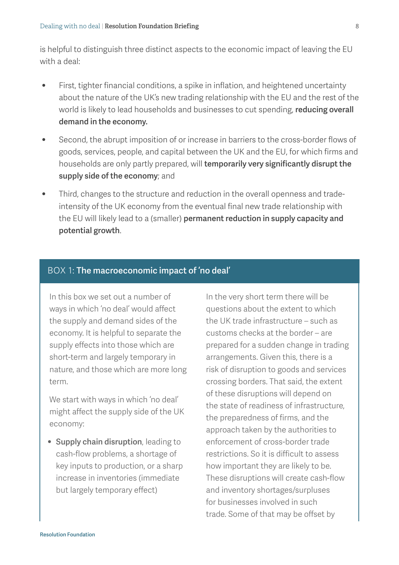is helpful to distinguish three distinct aspects to the economic impact of leaving the EU with a deal:

- First, tighter financial conditions, a spike in inflation, and heightened uncertainty about the nature of the UK's new trading relationship with the EU and the rest of the world is likely to lead households and businesses to cut spending, reducing overall demand in the economy.
- Second, the abrupt imposition of or increase in barriers to the cross-border flows of goods, services, people, and capital between the UK and the EU, for which firms and households are only partly prepared, will temporarily very significantly disrupt the supply side of the economy; and
- Third, changes to the structure and reduction in the overall openness and tradeintensity of the UK economy from the eventual final new trade relationship with the EU will likely lead to a (smaller) permanent reduction in supply capacity and potential growth.

#### <span id="page-7-0"></span>BOX 1: The macroeconomic impact of 'no deal'

In this box we set out a number of ways in which 'no deal' would affect the supply and demand sides of the economy. It is helpful to separate the supply effects into those which are short-term and largely temporary in nature, and those which are more long term.

We start with ways in which 'no deal' might affect the supply side of the UK economy:

• Supply chain disruption, leading to cash-flow problems, a shortage of key inputs to production, or a sharp increase in inventories (immediate but largely temporary effect)

In the very short term there will be questions about the extent to which the UK trade infrastructure – such as customs checks at the border – are prepared for a sudden change in trading arrangements. Given this, there is a risk of disruption to goods and services crossing borders. That said, the extent of these disruptions will depend on the state of readiness of infrastructure, the preparedness of firms, and the approach taken by the authorities to enforcement of cross-border trade restrictions. So it is difficult to assess how important they are likely to be. These disruptions will create cash-flow and inventory shortages/surpluses for businesses involved in such trade. Some of that may be offset by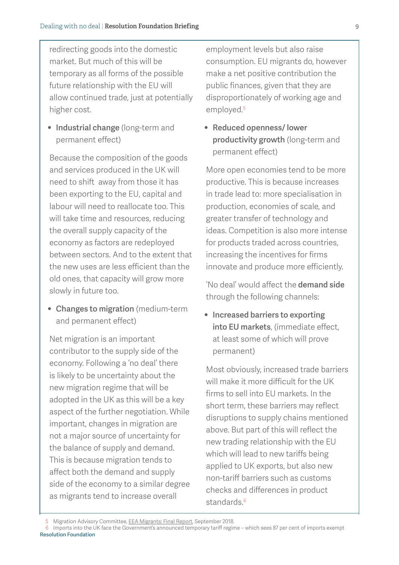redirecting goods into the domestic market. But much of this will be temporary as all forms of the possible future relationship with the EU will allow continued trade, just at potentially higher cost.

• Industrial change (long-term and permanent effect)

Because the composition of the goods and services produced in the UK will need to shift away from those it has been exporting to the EU, capital and labour will need to reallocate too. This will take time and resources, reducing the overall supply capacity of the economy as factors are redeployed between sectors. And to the extent that the new uses are less efficient than the old ones, that capacity will grow more slowly in future too.

• Changes to migration (medium-term and permanent effect)

Net migration is an important contributor to the supply side of the economy. Following a 'no deal' there is likely to be uncertainty about the new migration regime that will be adopted in the UK as this will be a key aspect of the further negotiation. While important, changes in migration are not a major source of uncertainty for the balance of supply and demand. This is because migration tends to affect both the demand and supply side of the economy to a similar degree as migrants tend to increase overall

employment levels but also raise consumption. EU migrants do, however make a net positive contribution the public finances, given that they are disproportionately of working age and employed.<sup>5</sup>

• Reduced openness/ lower productivity growth (long-term and permanent effect)

More open economies tend to be more productive. This is because increases in trade lead to: more specialisation in production, economies of scale, and greater transfer of technology and ideas. Competition is also more intense for products traded across countries, increasing the incentives for firms innovate and produce more efficiently.

'No deal' would affect the demand side through the following channels:

• Increased barriers to exporting into EU markets, (immediate effect, at least some of which will prove permanent)

Most obviously, increased trade barriers will make it more difficult for the UK firms to sell into EU markets. In the short term, these barriers may reflect disruptions to supply chains mentioned above. But part of this will reflect the new trading relationship with the EU which will lead to new tariffs being applied to UK exports, but also new non-tariff barriers such as customs checks and differences in product standards.<sup>6</sup>

6 Imports into the UK face the Government's announced temporary tariff regime – which sees 87 per cent of imports exempt Resolution Foundation

<sup>5</sup> Migration Advisory Committee, [EEA Migrants: Final Report](https://www.gov.uk/government/publications/migration-advisory-committee-mac-report-eea-migration), September 2018.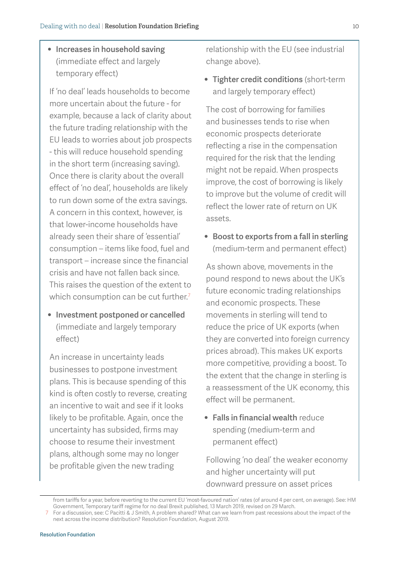• Increases in household saving (immediate effect and largely temporary effect)

If 'no deal' leads households to become more uncertain about the future - for example, because a lack of clarity about the future trading relationship with the EU leads to worries about job prospects - this will reduce household spending in the short term (increasing saving). Once there is clarity about the overall effect of 'no deal', households are likely to run down some of the extra savings. A concern in this context, however, is that lower-income households have already seen their share of 'essential' consumption – items like food, fuel and transport – increase since the financial crisis and have not fallen back since. This raises the question of the extent to which consumption can be cut further.<sup>7</sup>

• Investment postponed or cancelled (immediate and largely temporary effect)

An increase in uncertainty leads businesses to postpone investment plans. This is because spending of this kind is often costly to reverse, creating an incentive to wait and see if it looks likely to be profitable. Again, once the uncertainty has subsided, firms may choose to resume their investment plans, although some may no longer be profitable given the new trading

relationship with the EU (see industrial change above).

• Tighter credit conditions (short-term and largely temporary effect)

The cost of borrowing for families and businesses tends to rise when economic prospects deteriorate reflecting a rise in the compensation required for the risk that the lending might not be repaid. When prospects improve, the cost of borrowing is likely to improve but the volume of credit will reflect the lower rate of return on UK assets.

• Boost to exports from a fall in sterling (medium-term and permanent effect)

As shown above, movements in the pound respond to news about the UK's future economic trading relationships and economic prospects. These movements in sterling will tend to reduce the price of UK exports (when they are converted into foreign currency prices abroad). This makes UK exports more competitive, providing a boost. To the extent that the change in sterling is a reassessment of the UK economy, this effect will be permanent.

• Falls in financial wealth reduce spending (medium-term and permanent effect)

Following 'no deal' the weaker economy and higher uncertainty will put downward pressure on asset prices

from tariffs for a year, before reverting to the current EU 'most-favoured nation' rates (of around 4 per cent, on average). See: HM Government, Temporary tariff regime for no deal Brexit published, 13 March 2019, revised on 29 March. For a discussion, see: C Pacitti & J Smith, A problem shared? What can we learn from past recessions about the impact of the

[next across the income distribution?](https://www.resolutionfoundation.org/app/uploads/2019/09/A-problem-shared.pdf) Resolution Foundation, August 2019.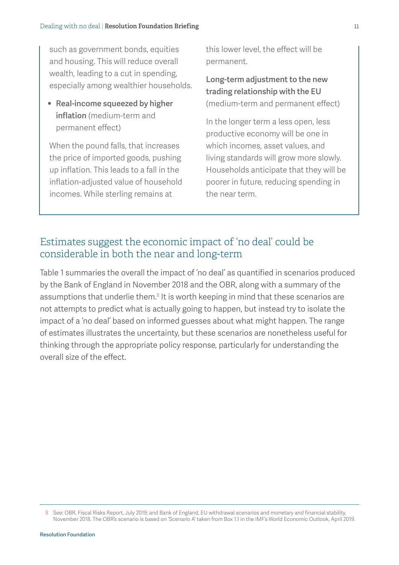such as government bonds, equities and housing. This will reduce overall wealth, leading to a cut in spending, especially among wealthier households.

• Real-income squeezed by higher inflation (medium-term and permanent effect)

When the pound falls, that increases the price of imported goods, pushing up inflation. This leads to a fall in the inflation-adjusted value of household incomes. While sterling remains at

this lower level, the effect will be permanent.

Long-term adjustment to the new trading relationship with the EU (medium-term and permanent effect)

In the longer term a less open, less productive economy will be one in which incomes, asset values, and living standards will grow more slowly. Households anticipate that they will be poorer in future, reducing spending in the near term.

## Estimates suggest the economic impact of 'no deal' could be considerable in both the near and long-term

[Table 1](#page-11-0) summaries the overall the impact of 'no deal' as quantified in scenarios produced by the Bank of England in November 2018 and the OBR, along with a summary of the assumptions that underlie them.<sup>8</sup> It is worth keeping in mind that these scenarios are not attempts to predict what is actually going to happen, but instead try to isolate the impact of a 'no deal' based on informed guesses about what might happen. The range of estimates illustrates the uncertainty, but these scenarios are nonetheless useful for thinking through the appropriate policy response, particularly for understanding the overall size of the effect.

<sup>8</sup> See: OBR, [Fiscal Risks Report](https://obr.uk/docs/dlm_uploads/Fiscalrisksreport2019.pdf), July 2019; and Bank of England, [EU withdrawal scenarios and monetary and financial stability,](https://www.bankofengland.co.uk/-/media/boe/files/report/2018/eu-withdrawal-scenarios-and-monetary-and-financial-stability.pdf?la=en&hash=B5F6EDCDF90DCC10286FC0BC599D94CAB8735DFB) November 2018. The OBR's scenario is based on 'Scenario A' taken from Box 1.1 in the IMF's [World Economic Outlook](https://www.imf.org/~/media/Files/Publications/WEO/2019/April/English/text.ashx?la=en), April 2019.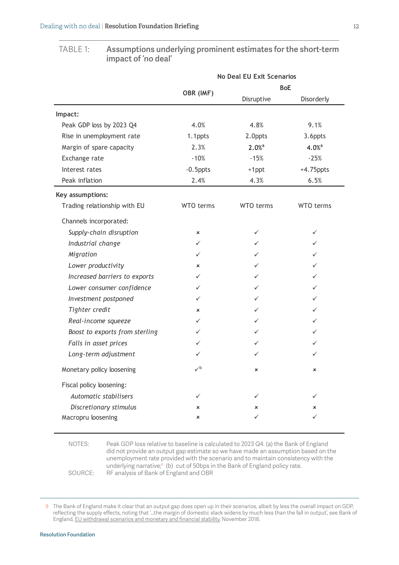|                                | <b>No Deal EU Exit Scenarios</b> |                     |                     |  |  |  |  |
|--------------------------------|----------------------------------|---------------------|---------------------|--|--|--|--|
|                                |                                  | <b>BoE</b>          |                     |  |  |  |  |
|                                | OBR (IMF)                        | Disruptive          | Disorderly          |  |  |  |  |
| Impact:                        |                                  |                     |                     |  |  |  |  |
| Peak GDP loss by 2023 Q4       | 4.0%                             | 4.8%                | 9.1%                |  |  |  |  |
| Rise in unemployment rate      | 1.1ppts                          | 2.0ppts             | 3.6ppts             |  |  |  |  |
| Margin of spare capacity       | 2.3%                             | $2.0%$ <sup>a</sup> | $4.0%$ <sup>a</sup> |  |  |  |  |
| Exchange rate                  | $-10%$                           | $-15%$              | $-25%$              |  |  |  |  |
| Interest rates                 | $-0.5$ ppts                      | $+1$ ppt            | $+4.75$ ppts        |  |  |  |  |
| Peak inflation                 | 2.4%                             | 4.3%                | 6.5%                |  |  |  |  |
| Key assumptions:               |                                  |                     |                     |  |  |  |  |
| Trading relationship with EU   | WTO terms                        | WTO terms           | WTO terms           |  |  |  |  |
| Channels incorporated:         |                                  |                     |                     |  |  |  |  |
| Supply-chain disruption        | ×                                | ✓                   | ✓                   |  |  |  |  |
| Industrial change              | ✓                                | ✓                   | ✓                   |  |  |  |  |
| Migration                      | ✓                                | ✓                   | ✓                   |  |  |  |  |
| Lower productivity             | ×                                | ✓                   | ✓                   |  |  |  |  |
| Increased barriers to exports  | ✓                                | ✓                   | ✓                   |  |  |  |  |
| Lower consumer confidence      | ✓                                | ✓                   | ✓                   |  |  |  |  |
| Investment postponed           | ✓                                | ✓                   | ✓                   |  |  |  |  |
| Tighter credit                 | ×                                | ✓                   | ✓                   |  |  |  |  |
| Real-income squeeze            | ✓                                | ✓                   | ✓                   |  |  |  |  |
| Boost to exports from sterling | ✓                                | ✓                   | ✓                   |  |  |  |  |
| Falls in asset prices          | ✓                                | ✓                   | ✓                   |  |  |  |  |
| Long-term adjustment           | ✓                                | ✓                   | ✓                   |  |  |  |  |
| Monetary policy loosening      | $\checkmark$                     | ×                   | ×                   |  |  |  |  |
| Fiscal policy loosening:       |                                  |                     |                     |  |  |  |  |
| Automatic stabilisers          | ✓                                | ✓                   | ✓                   |  |  |  |  |
| Discretionary stimulus         | ×                                | ×                   | ×                   |  |  |  |  |
| Macropru loosening             | ×                                |                     |                     |  |  |  |  |

#### <span id="page-11-0"></span>TABLE 1: Assumptions underlying prominent estimates for the short-term impact of 'no deal'

NOTES: Peak GDP loss relative to baseline is calculated to 2023 Q4. (a) the Bank of England did not provide an output gap estimate so we have made an assumption based on the unemployment rate provided with the scenario and to maintain consistency with the underlying narrative;<sup>9</sup> (b) cut of 50bps in the Bank of England policy rate. SOURCE: RF analysis of Bank of England and OBR

9 The Bank of England make it clear that an output gap does open up in their scenarios, albeit by less the overall impact on GDP, reflecting the supply effects, noting that '…the margin of domestic slack widens by much less than the fall in output', see Bank of England, [EU withdrawal scenarios and monetary and financial stability,](https://www.bankofengland.co.uk/-/media/boe/files/report/2018/eu-withdrawal-scenarios-and-monetary-and-financial-stability.pdf?la=en&hash=B5F6EDCDF90DCC10286FC0BC599D94CAB8735DFB) November 2018.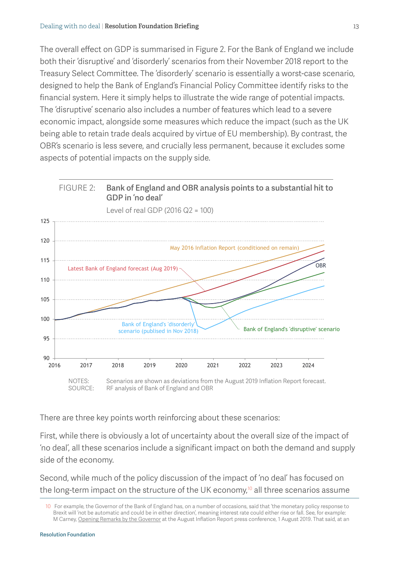The overall effect on GDP is summarised in [Figure 2](#page-12-0). For the Bank of England we include both their 'disruptive' and 'disorderly' scenarios from their November 2018 report to the Treasury Select Committee. The 'disorderly' scenario is essentially a worst-case scenario, designed to help the Bank of England's Financial Policy Committee identify risks to the financial system. Here it simply helps to illustrate the wide range of potential impacts. The 'disruptive' scenario also includes a number of features which lead to a severe economic impact, alongside some measures which reduce the impact (such as the UK being able to retain trade deals acquired by virtue of EU membership). By contrast, the OBR's scenario is less severe, and crucially less permanent, because it excludes some aspects of potential impacts on the supply side.

<span id="page-12-0"></span>

SOURCE: RF analysis of Bank of England and OBR

There are three key points worth reinforcing about these scenarios:

First, while there is obviously a lot of uncertainty about the overall size of the impact of 'no deal', all these scenarios include a significant impact on both the demand and supply side of the economy.

Second, while much of the policy discussion of the impact of 'no deal' has focused on the long-term impact on the structure of the UK economy,<sup>10</sup> all three scenarios assume

<sup>10</sup> For example, the Governor of the Bank of England has, on a number of occasions, said that 'the monetary policy response to Brexit will 'not be automatic and could be in either direction', meaning interest rate could either rise or fall. See, for example: M Carney, [Opening Remarks by the Governor](https://www.bankofengland.co.uk/-/media/boe/files/inflation-report/2019/august/opening-remarks-august-2019.pdf?la=en&hash=8F9C0952273CAE3F75CF0EA52CA5E153DC4BDA22) at the August Inflation Report press conference, 1 August 2019. That said, at an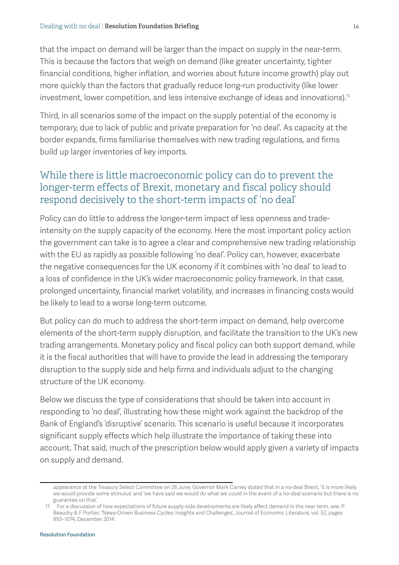that the impact on demand will be larger than the impact on supply in the near-term. This is because the factors that weigh on demand (like greater uncertainty, tighter financial conditions, higher inflation, and worries about future income growth) play out more quickly than the factors that gradually reduce long-run productivity (like lower investment, lower competition, and less intensive exchange of ideas and innovations).<sup>11</sup>

Third, in all scenarios some of the impact on the supply potential of the economy is temporary, due to lack of public and private preparation for 'no deal'. As capacity at the border expands, firms familiarise themselves with new trading regulations, and firms build up larger inventories of key imports.

## While there is little macroeconomic policy can do to prevent the longer-term effects of Brexit, monetary and fiscal policy should respond decisively to the short-term impacts of 'no deal'

Policy can do little to address the longer-term impact of less openness and tradeintensity on the supply capacity of the economy. Here the most important policy action the government can take is to agree a clear and comprehensive new trading relationship with the EU as rapidly as possible following 'no deal'. Policy can, however, exacerbate the negative consequences for the UK economy if it combines with 'no deal' to lead to a loss of confidence in the UK's wider macroeconomic policy framework. In that case, prolonged uncertainty, financial market volatility, and increases in financing costs would be likely to lead to a worse long-term outcome.

But policy can do much to address the short-term impact on demand, help overcome elements of the short-term supply disruption, and facilitate the transition to the UK's new trading arrangements. Monetary policy and fiscal policy can both support demand, while it is the fiscal authorities that will have to provide the lead in addressing the temporary disruption to the supply side and help firms and individuals adjust to the changing structure of the UK economy.

Below we discuss the type of considerations that should be taken into account in responding to 'no deal', illustrating how these might work against the backdrop of the Bank of England's 'disruptive' scenario. This scenario is useful because it incorporates significant supply effects which help illustrate the importance of taking these into account. That said, much of the prescription below would apply given a variety of impacts on supply and demand.

appearance at the Treasury Select Committee on 26 June, Governor Mark Carney stated that in a no-deal Brexit, 'it is more likely we would provide some stimulus' and 'we have said we would do what we could in the event of a no-deal scenario but there is no guarantee on that'.

<sup>11</sup> For a discussion of how expectations of future supply-side developments are likely affect demand in the near term, see: P Beaudry & F Portier, 'News-Driven Business Cycles: Insights and Challenges', Journal of Economic Literature, vol. 52, pages 993–1074, December 2014.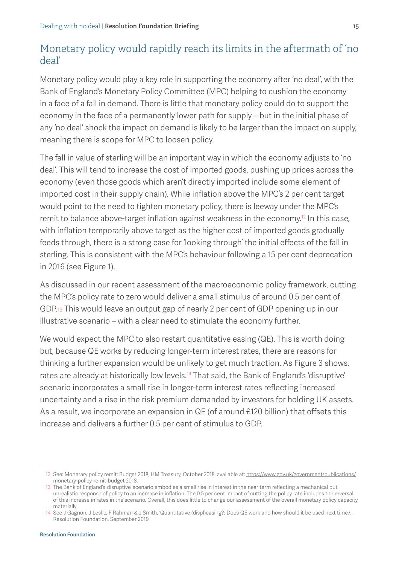## Monetary policy would rapidly reach its limits in the aftermath of 'no deal'

Monetary policy would play a key role in supporting the economy after 'no deal', with the Bank of England's Monetary Policy Committee (MPC) helping to cushion the economy in a face of a fall in demand. There is little that monetary policy could do to support the economy in the face of a permanently lower path for supply – but in the initial phase of any 'no deal' shock the impact on demand is likely to be larger than the impact on supply, meaning there is scope for MPC to loosen policy.

The fall in value of sterling will be an important way in which the economy adjusts to 'no deal'. This will tend to increase the cost of imported goods, pushing up prices across the economy (even those goods which aren't directly imported include some element of imported cost in their supply chain). While inflation above the MPC's 2 per cent target would point to the need to tighten monetary policy, there is leeway under the MPC's remit to balance above-target inflation against weakness in the economy.<sup>12</sup> In this case, with inflation temporarily above target as the higher cost of imported goods gradually feeds through, there is a strong case for 'looking through' the initial effects of the fall in sterling. This is consistent with the MPC's behaviour following a 15 per cent deprecation in 2016 (see [Figure 1\)](#page-5-0).

As discussed in our recent assessment of the macroeconomic policy framework, cutting the MPC's policy rate to zero would deliver a small stimulus of around 0.5 per cent of GDP.13 This would leave an output gap of nearly 2 per cent of GDP opening up in our illustrative scenario – with a clear need to stimulate the economy further.

We would expect the MPC to also restart quantitative easing (QE). This is worth doing but, because QE works by reducing longer-term interest rates, there are reasons for thinking a further expansion would be unlikely to get much traction. As [Figure 3](#page-15-0) shows, rates are already at historically low levels.<sup>14</sup> That said, the Bank of England's 'disruptive' scenario incorporates a small rise in longer-term interest rates reflecting increased uncertainty and a rise in the risk premium demanded by investors for holding UK assets. As a result, we incorporate an expansion in QE (of around £120 billion) that offsets this increase and delivers a further 0.5 per cent of stimulus to GDP.

<sup>12</sup> See: Monetary policy remit: Budget 2018, HM Treasury, October 2018, available at: [https://www.gov.uk/government/publications/](https://www.gov.uk/government/publications/monetary-policy-remit-budget-2018) [monetary-policy-remit-budget-2018.](https://www.gov.uk/government/publications/monetary-policy-remit-budget-2018)

<sup>13</sup> The Bank of England's 'disruptive' scenario embodies a small rise in interest in the near term reflecting a mechanical but unrealistic response of policy to an increase in inflation. The 0.5 per cent impact of cutting the policy rate includes the reversal of this increase in rates in the scenario. Overall, this does little to change our assessment of the overall monetary policy capacity materially.

<sup>14</sup> See J Gagnon, J Leslie, F Rahman & J Smith, 'Quantitative (displ)easing?: Does QE work and how should it be used next time?,, Resolution Foundation, September 2019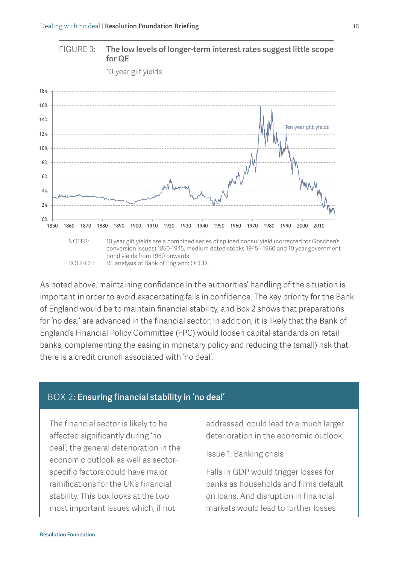<span id="page-15-0"></span>

As noted above, maintaining confidence in the authorities' handling of the situation is important in order to avoid exacerbating falls in confidence. The key priority for the Bank of England would be to maintain financial stability, and [Box 2](#page-15-1) shows that preparations for 'no deal' are advanced in the financial sector. In addition, it is likely that the Bank of England's Financial Policy Committee (FPC) would loosen capital standards on retail banks, complementing the easing in monetary policy and reducing the (small) risk that there is a credit crunch associated with 'no deal'.

#### <span id="page-15-1"></span>BOX 2: Ensuring financial stability in 'no deal'

The financial sector is likely to be affected significantly during 'no deal'; the general deterioration in the economic outlook as well as sectorspecific factors could have major ramifications for the UK's financial stability. This box looks at the two most important issues which, if not

addressed, could lead to a much larger deterioration in the economic outlook.

Issue 1: Banking crisis

Falls in GDP would trigger losses for banks as households and firms default on loans. And disruption in financial markets would lead to further losses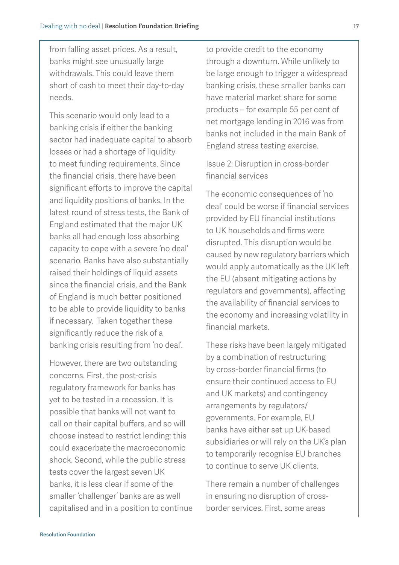from falling asset prices. As a result, banks might see unusually large withdrawals. This could leave them short of cash to meet their day-to-day needs.

This scenario would only lead to a banking crisis if either the banking sector had inadequate capital to absorb losses or had a shortage of liquidity to meet funding requirements. Since the financial crisis, there have been significant efforts to improve the capital and liquidity positions of banks. In the latest round of stress tests, the Bank of England estimated that the major UK banks all had enough loss absorbing capacity to cope with a severe 'no deal' scenario. Banks have also substantially raised their holdings of liquid assets since the financial crisis, and the Bank of England is much better positioned to be able to provide liquidity to banks if necessary. Taken together these significantly reduce the risk of a banking crisis resulting from 'no deal'.

However, there are two outstanding concerns. First, the post-crisis regulatory framework for banks has yet to be tested in a recession. It is possible that banks will not want to call on their capital buffers, and so will choose instead to restrict lending; this could exacerbate the macroeconomic shock. Second, while the public stress tests cover the largest seven UK banks, it is less clear if some of the smaller 'challenger' banks are as well capitalised and in a position to continue to provide credit to the economy through a downturn. While unlikely to be large enough to trigger a widespread banking crisis, these smaller banks can have material market share for some products – for example 55 per cent of net mortgage lending in 2016 was from banks not included in the main Bank of England stress testing exercise.

Issue 2: Disruption in cross-border financial services

The economic consequences of 'no deal' could be worse if financial services provided by EU financial institutions to UK households and firms were disrupted. This disruption would be caused by new regulatory barriers which would apply automatically as the UK left the EU (absent mitigating actions by regulators and governments), affecting the availability of financial services to the economy and increasing volatility in financial markets.

These risks have been largely mitigated by a combination of restructuring by cross-border financial firms (to ensure their continued access to EU and UK markets) and contingency arrangements by regulators/ governments. For example, EU banks have either set up UK-based subsidiaries or will rely on the UK's plan to temporarily recognise EU branches to continue to serve UK clients.

There remain a number of challenges in ensuring no disruption of crossborder services. First, some areas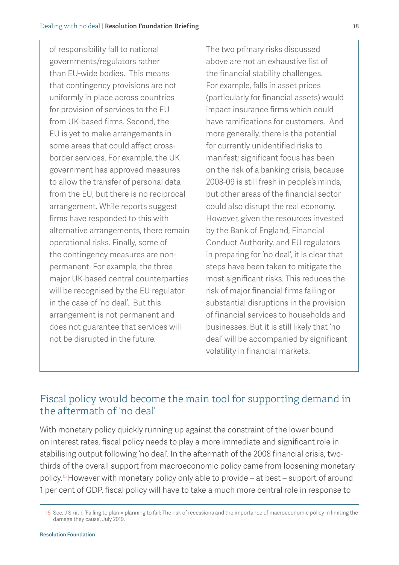of responsibility fall to national governments/regulators rather than EU-wide bodies. This means that contingency provisions are not uniformly in place across countries for provision of services to the EU from UK-based firms. Second, the EU is yet to make arrangements in some areas that could affect crossborder services. For example, the UK government has approved measures to allow the transfer of personal data from the EU, but there is no reciprocal arrangement. While reports suggest firms have responded to this with alternative arrangements, there remain operational risks. Finally, some of the contingency measures are nonpermanent. For example, the three major UK-based central counterparties will be recognised by the EU regulator in the case of 'no deal'. But this arrangement is not permanent and does not guarantee that services will not be disrupted in the future.

The two primary risks discussed above are not an exhaustive list of the financial stability challenges. For example, falls in asset prices (particularly for financial assets) would impact insurance firms which could have ramifications for customers. And more generally, there is the potential for currently unidentified risks to manifest; significant focus has been on the risk of a banking crisis, because 2008-09 is still fresh in people's minds, but other areas of the financial sector could also disrupt the real economy. However, given the resources invested by the Bank of England, Financial Conduct Authority, and EU regulators in preparing for 'no deal', it is clear that steps have been taken to mitigate the most significant risks. This reduces the risk of major financial firms failing or substantial disruptions in the provision of financial services to households and businesses. But it is still likely that 'no deal' will be accompanied by significant volatility in financial markets.

## Fiscal policy would become the main tool for supporting demand in the aftermath of 'no deal'

With monetary policy quickly running up against the constraint of the lower bound on interest rates, fiscal policy needs to play a more immediate and significant role in stabilising output following 'no deal'. In the aftermath of the 2008 financial crisis, twothirds of the overall support from macroeconomic policy came from loosening monetary policy.15 However with monetary policy only able to provide – at best – support of around 1 per cent of GDP, fiscal policy will have to take a much more central role in response to

<sup>15</sup> See, J Smith, 'Failing to plan = planning to fail: The risk of recessions and the importance of macroeconomic policy in limiting the damage they cause', July 2019.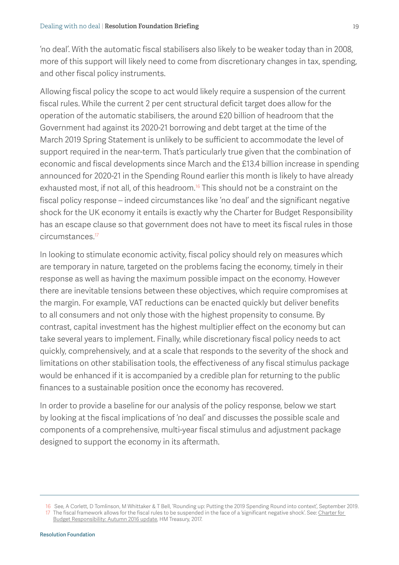'no deal'. With the automatic fiscal stabilisers also likely to be weaker today than in 2008, more of this support will likely need to come from discretionary changes in tax, spending, and other fiscal policy instruments.

Allowing fiscal policy the scope to act would likely require a suspension of the current fiscal rules. While the current 2 per cent structural deficit target does allow for the operation of the automatic stabilisers, the around £20 billion of headroom that the Government had against its 2020-21 borrowing and debt target at the time of the March 2019 Spring Statement is unlikely to be sufficient to accommodate the level of support required in the near-term. That's particularly true given that the combination of economic and fiscal developments since March and the £13.4 billion increase in spending announced for 2020-21 in the Spending Round earlier this month is likely to have already exhausted most, if not all, of this headroom.<sup>16</sup> This should not be a constraint on the fiscal policy response – indeed circumstances like 'no deal' and the significant negative shock for the UK economy it entails is exactly why the Charter for Budget Responsibility has an escape clause so that government does not have to meet its fiscal rules in those circumstances.17

In looking to stimulate economic activity, fiscal policy should rely on measures which are temporary in nature, targeted on the problems facing the economy, timely in their response as well as having the maximum possible impact on the economy. However there are inevitable tensions between these objectives, which require compromises at the margin. For example, VAT reductions can be enacted quickly but deliver benefits to all consumers and not only those with the highest propensity to consume. By contrast, capital investment has the highest multiplier effect on the economy but can take several years to implement. Finally, while discretionary fiscal policy needs to act quickly, comprehensively, and at a scale that responds to the severity of the shock and limitations on other stabilisation tools, the effectiveness of any fiscal stimulus package would be enhanced if it is accompanied by a credible plan for returning to the public finances to a sustainable position once the economy has recovered.

In order to provide a baseline for our analysis of the policy response, below we start by looking at the fiscal implications of 'no deal' and discusses the possible scale and components of a comprehensive, multi-year fiscal stimulus and adjustment package designed to support the economy in its aftermath.

<sup>16</sup> See, A Corlett, D Tomlinson, M Whittaker & T Bell, 'Rounding up: Putting the 2019 Spending Round into context', September 2019. 17 The fiscal framework allows for the fiscal rules to be suspended in the face of a 'significant negative shock'. See: [Charter for](https://www.gov.uk/government/uploads/system/uploads/attachment_data/file/583547/charter_for_budget_responsibility_autumn_2016_update_final_for_laying_web.pdf)  [Budget Responsibility: Autumn 2016 update](https://www.gov.uk/government/uploads/system/uploads/attachment_data/file/583547/charter_for_budget_responsibility_autumn_2016_update_final_for_laying_web.pdf), HM Treasury, 2017.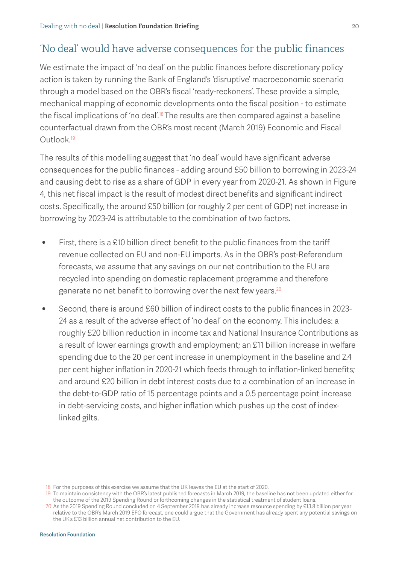## 'No deal' would have adverse consequences for the public finances

We estimate the impact of 'no deal' on the public finances before discretionary policy action is taken by running the Bank of England's 'disruptive' macroeconomic scenario through a model based on the OBR's fiscal 'ready-reckoners'. These provide a simple, mechanical mapping of economic developments onto the fiscal position - to estimate the fiscal implications of 'no deal'.<sup>18</sup> The results are then compared against a baseline counterfactual drawn from the OBR's most recent (March 2019) Economic and Fiscal Outlook<sup>19</sup>

The results of this modelling suggest that 'no deal' would have significant adverse consequences for the public finances - adding around £50 billion to borrowing in 2023-24 and causing debt to rise as a share of GDP in every year from 2020-21. As shown in [Figure](#page-20-0)  [4,](#page-20-0) this net fiscal impact is the result of modest direct benefits and significant indirect costs. Specifically, the around £50 billion (or roughly 2 per cent of GDP) net increase in borrowing by 2023-24 is attributable to the combination of two factors.

- First, there is a £10 billion direct benefit to the public finances from the tariff revenue collected on EU and non-EU imports. As in the OBR's post-Referendum forecasts, we assume that any savings on our net contribution to the EU are recycled into spending on domestic replacement programme and therefore generate no net benefit to borrowing over the next few years.20
- Second, there is around £60 billion of indirect costs to the public finances in 2023- 24 as a result of the adverse effect of 'no deal' on the economy. This includes: a roughly £20 billion reduction in income tax and National Insurance Contributions as a result of lower earnings growth and employment; an £11 billion increase in welfare spending due to the 20 per cent increase in unemployment in the baseline and 2.4 per cent higher inflation in 2020-21 which feeds through to inflation-linked benefits; and around £20 billion in debt interest costs due to a combination of an increase in the debt-to-GDP ratio of 15 percentage points and a 0.5 percentage point increase in debt-servicing costs, and higher inflation which pushes up the cost of indexlinked gilts.

<sup>18</sup> For the purposes of this exercise we assume that the UK leaves the EU at the start of 2020.

<sup>19</sup> To maintain consistency with the OBR's latest published forecasts in March 2019, the baseline has not been updated either for the outcome of the 2019 Spending Round or forthcoming changes in the statistical treatment of student loans.

<sup>20</sup> As the 2019 Spending Round concluded on 4 September 2019 has already increase resource spending by £13.8 billion per year relative to the OBR's March 2019 EFO forecast, one could argue that the Government has already spent any potential savings on the UK's £13 billion annual net contribution to the EU.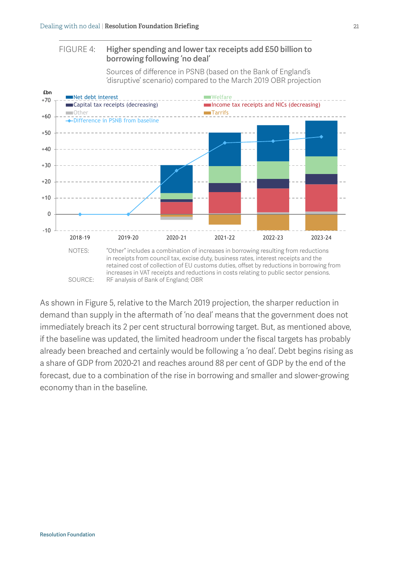#### <span id="page-20-0"></span>FIGURE 4: Higher spending and lower tax receipts add £50 billion to borrowing following 'no deal'

Sources of difference in PSNB (based on the Bank of England's 'disruptive' scenario) compared to the March 2019 OBR projection



As shown in [Figure 5,](#page-21-0) relative to the March 2019 projection, the sharper reduction in demand than supply in the aftermath of 'no deal' means that the government does not immediately breach its 2 per cent structural borrowing target. But, as mentioned above, if the baseline was updated, the limited headroom under the fiscal targets has probably already been breached and certainly would be following a 'no deal'. Debt begins rising as a share of GDP from 2020-21 and reaches around 88 per cent of GDP by the end of the forecast, due to a combination of the rise in borrowing and smaller and slower-growing economy than in the baseline.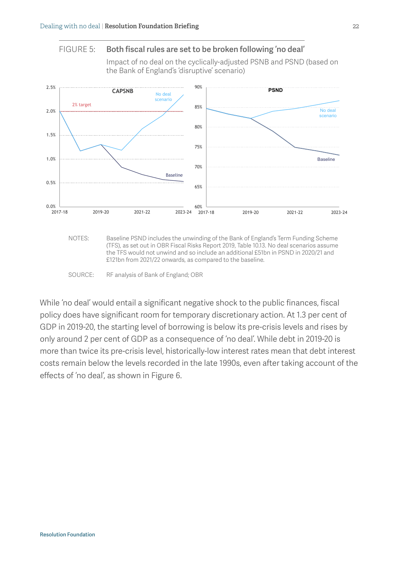2017-18 2019-20 2021-22 2023-24

<span id="page-21-0"></span>



60%

2017-18 2019-20 2021-22 2023-24

 $0.0\%$   $\qquad$   $\qquad$  2017-18

SOURCE: RF analysis of Bank of England; OBR

While 'no deal' would entail a significant negative shock to the public finances, fiscal policy does have significant room for temporary discretionary action. At 1.3 per cent of GDP in 2019-20, the starting level of borrowing is below its pre-crisis levels and rises by only around 2 per cent of GDP as a consequence of 'no deal'. While debt in 2019-20 is more than twice its pre-crisis level, historically-low interest rates mean that debt interest costs remain below the levels recorded in the late 1990s, even after taking account of the effects of 'no deal', as shown in [Figure 6.](#page-22-0)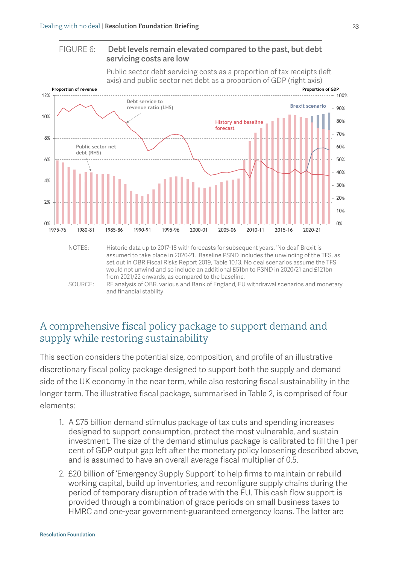#### <span id="page-22-0"></span>FIGURE 6: Debt levels remain elevated compared to the past, but debt servicing costs are low

Public sector debt servicing costs as a proportion of tax receipts (left axis) and public sector net debt as a proportion of GDP (right axis)



NOTES: Historic data up to 2017-18 with forecasts for subsequent years. 'No deal' Brexit is assumed to take place in 2020-21. Baseline PSND includes the unwinding of the TFS, as set out in OBR Fiscal Risks Report 2019, Table 10.13. No deal scenarios assume the TFS would not unwind and so include an additional £51bn to PSND in 2020/21 and £121bn from 2021/22 onwards, as compared to the baseline.

## A comprehensive fiscal policy package to support demand and supply while restoring sustainability

This section considers the potential size, composition, and profile of an illustrative discretionary fiscal policy package designed to support both the supply and demand side of the UK economy in the near term, while also restoring fiscal sustainability in the longer term. The illustrative fiscal package, summarised in [Table 2](#page-23-0), is comprised of four elements:

- 1. A £75 billion demand stimulus package of tax cuts and spending increases designed to support consumption, protect the most vulnerable, and sustain investment. The size of the demand stimulus package is calibrated to fill the 1 per cent of GDP output gap left after the monetary policy loosening described above, and is assumed to have an overall average fiscal multiplier of 0.5.
- 2. £20 billion of 'Emergency Supply Support' to help firms to maintain or rebuild working capital, build up inventories, and reconfigure supply chains during the period of temporary disruption of trade with the EU. This cash flow support is provided through a combination of grace periods on small business taxes to HMRC and one-year government-guaranteed emergency loans. The latter are

SOURCE: RF analysis of OBR, various and Bank of England, EU withdrawal scenarios and monetary and financial stability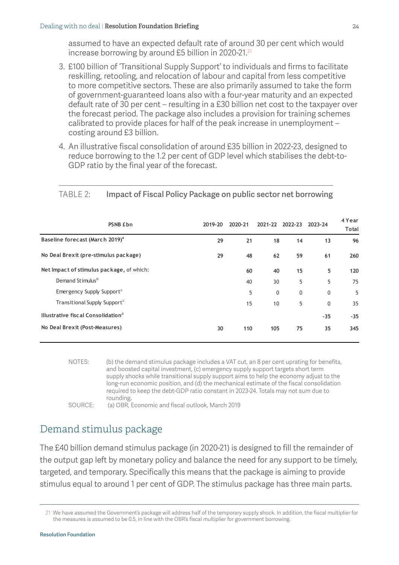assumed to have an expected default rate of around 30 per cent which would increase borrowing by around £5 billion in 2020-21.<sup>21</sup>

- 3. £100 billion of 'Transitional Supply Support' to individuals and firms to facilitate reskilling, retooling, and relocation of labour and capital from less competitive to more competitive sectors. These are also primarily assumed to take the form of government-guaranteed loans also with a four-year maturity and an expected default rate of 30 per cent – resulting in a £30 billion net cost to the taxpayer over the forecast period. The package also includes a provision for training schemes calibrated to provide places for half of the peak increase in unemployment – costing around £3 billion.
- 4. An illustrative fiscal consolidation of around £35 billion in 2022-23, designed to reduce borrowing to the 1.2 per cent of GDP level which stabilises the debt-to-GDP ratio by the final year of the forecast.

#### <span id="page-23-0"></span>TABLE 2: Impact of Fiscal Policy Package on public sector net borrowing

| PSNB £bn                                       | 2019-20 | 2020-21 |                 | 2021-22 2022-23 | 2023-24      | 4 Year<br><b>Total</b> |
|------------------------------------------------|---------|---------|-----------------|-----------------|--------------|------------------------|
| Baseline forecast (March 2019) <sup>a</sup>    | 29      | 21      | 18              | 14              | 13           | 96                     |
| No Deal Brexit (pre-stimulus package)          | 29      | 48      | 62              | 59              | 61           | 260                    |
| Net Impact of stimulus package, of which:      |         | 60      | 40              | 15              | 5            | 120                    |
| Demand Stimulus <sup>b</sup>                   |         | 40      | 30              | 5               | 5            | 75                     |
| Emergency Supply Support <sup>c</sup>          |         | 5       | $\mathbf 0$     | 0               | $\mathbf{0}$ | 5                      |
| Transitional Supply Support <sup>c</sup>       |         | 15      | 10 <sup>°</sup> | 5               | $\mathbf{0}$ | 35                     |
| Illustrative fiscal Consolidation <sup>d</sup> |         |         |                 |                 | $-35$        | $-35$                  |
| No Deal Brexit (Post-Measures)                 | 30      | 110     | 105             | 75              | 35           | 345                    |

NOTES: (b) the demand stimulus package includes a VAT cut, an 8 per cent uprating for benefits, and boosted capital investment, (c) emergency supply support targets short term supply shocks while transitional supply support aims to help the economy adjust to the long-run economic position, and (d) the mechanical estimate of the fiscal consolidation required to keep the debt-GDP ratio constant in 2023-24. Totals may not sum due to rounding. SOURCE: (a) OBR, Economic and fiscal outlook, March 2019

#### Demand stimulus package

The £40 billion demand stimulus package (in 2020-21) is designed to fill the remainder of the output gap left by monetary policy and balance the need for any support to be timely, targeted, and temporary. Specifically this means that the package is aiming to provide stimulus equal to around 1 per cent of GDP. The stimulus package has three main parts.

<sup>21</sup> We have assumed the Government's package will address half of the temporary supply shock. In addition, the fiscal multiplier for the measures is assumed to be 0.5, in line with the OBR's fiscal multiplier for government borrowing.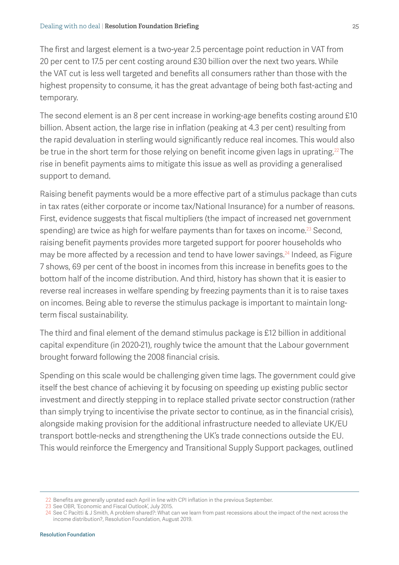The first and largest element is a two-year 2.5 percentage point reduction in VAT from 20 per cent to 17.5 per cent costing around £30 billion over the next two years. While the VAT cut is less well targeted and benefits all consumers rather than those with the highest propensity to consume, it has the great advantage of being both fast-acting and temporary.

The second element is an 8 per cent increase in working-age benefits costing around £10 billion. Absent action, the large rise in inflation (peaking at 4.3 per cent) resulting from the rapid devaluation in sterling would significantly reduce real incomes. This would also be true in the short term for those relying on benefit income given lags in uprating.<sup>22</sup> The rise in benefit payments aims to mitigate this issue as well as providing a generalised support to demand.

Raising benefit payments would be a more effective part of a stimulus package than cuts in tax rates (either corporate or income tax/National Insurance) for a number of reasons. First, evidence suggests that fiscal multipliers (the impact of increased net government spending) are twice as high for welfare payments than for taxes on income.<sup>23</sup> Second, raising benefit payments provides more targeted support for poorer households who may be more affected by a recession and tend to have lower savings.<sup>24</sup> Indeed, as Figure [7](#page-25-0) shows, 69 per cent of the boost in incomes from this increase in benefits goes to the bottom half of the income distribution. And third, history has shown that it is easier to reverse real increases in welfare spending by freezing payments than it is to raise taxes on incomes. Being able to reverse the stimulus package is important to maintain longterm fiscal sustainability.

The third and final element of the demand stimulus package is £12 billion in additional capital expenditure (in 2020-21), roughly twice the amount that the Labour government brought forward following the 2008 financial crisis.

Spending on this scale would be challenging given time lags. The government could give itself the best chance of achieving it by focusing on speeding up existing public sector investment and directly stepping in to replace stalled private sector construction (rather than simply trying to incentivise the private sector to continue, as in the financial crisis), alongside making provision for the additional infrastructure needed to alleviate UK/EU transport bottle-necks and strengthening the UK's trade connections outside the EU. This would reinforce the Emergency and Transitional Supply Support packages, outlined

<sup>22</sup> Benefits are generally uprated each April in line with CPI inflation in the previous September.

<sup>23</sup> See OBR, 'Economic and Fiscal Outlook', July 2015.

<sup>24</sup> See C Pacitti & J Smith, A problem shared?: What can we learn from past recessions about the impact of the next across the income distribution?, Resolution Foundation, August 2019.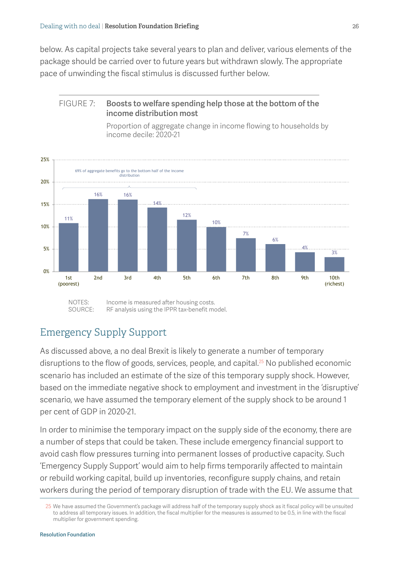below. As capital projects take several years to plan and deliver, various elements of the package should be carried over to future years but withdrawn slowly. The appropriate pace of unwinding the fiscal stimulus is discussed further below.

#### <span id="page-25-0"></span>FIGURE 7: Boosts to welfare spending help those at the bottom of the income distribution most



Proportion of aggregate change in income flowing to households by income decile: 2020-21

# Emergency Supply Support

As discussed above, a no deal Brexit is likely to generate a number of temporary disruptions to the flow of goods, services, people, and capital.<sup>25</sup> No published economic scenario has included an estimate of the size of this temporary supply shock. However, based on the immediate negative shock to employment and investment in the 'disruptive' scenario, we have assumed the temporary element of the supply shock to be around 1 per cent of GDP in 2020-21.

In order to minimise the temporary impact on the supply side of the economy, there are a number of steps that could be taken. These include emergency financial support to avoid cash flow pressures turning into permanent losses of productive capacity. Such 'Emergency Supply Support' would aim to help firms temporarily affected to maintain or rebuild working capital, build up inventories, reconfigure supply chains, and retain workers during the period of temporary disruption of trade with the EU. We assume that

<sup>25</sup> We have assumed the Government's package will address half of the temporary supply shock as it fiscal policy will be unsuited to address all temporary issues. In addition, the fiscal multiplier for the measures is assumed to be 0.5, in line with the fiscal multiplier for government spending.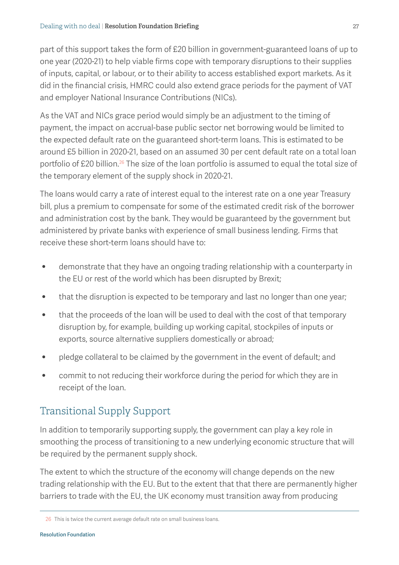part of this support takes the form of £20 billion in government-guaranteed loans of up to one year (2020-21) to help viable firms cope with temporary disruptions to their supplies of inputs, capital, or labour, or to their ability to access established export markets. As it did in the financial crisis, HMRC could also extend grace periods for the payment of VAT and employer National Insurance Contributions (NICs).

As the VAT and NICs grace period would simply be an adjustment to the timing of payment, the impact on accrual-base public sector net borrowing would be limited to the expected default rate on the guaranteed short-term loans. This is estimated to be around £5 billion in 2020-21, based on an assumed 30 per cent default rate on a total loan portfolio of £20 billion.<sup>26</sup> The size of the loan portfolio is assumed to equal the total size of the temporary element of the supply shock in 2020-21.

The loans would carry a rate of interest equal to the interest rate on a one year Treasury bill, plus a premium to compensate for some of the estimated credit risk of the borrower and administration cost by the bank. They would be guaranteed by the government but administered by private banks with experience of small business lending. Firms that receive these short-term loans should have to:

- demonstrate that they have an ongoing trading relationship with a counterparty in the EU or rest of the world which has been disrupted by Brexit;
- that the disruption is expected to be temporary and last no longer than one year;
- that the proceeds of the loan will be used to deal with the cost of that temporary disruption by, for example, building up working capital, stockpiles of inputs or exports, source alternative suppliers domestically or abroad;
- pledge collateral to be claimed by the government in the event of default; and
- commit to not reducing their workforce during the period for which they are in receipt of the loan.

## Transitional Supply Support

In addition to temporarily supporting supply, the government can play a key role in smoothing the process of transitioning to a new underlying economic structure that will be required by the permanent supply shock.

The extent to which the structure of the economy will change depends on the new trading relationship with the EU. But to the extent that that there are permanently higher barriers to trade with the EU, the UK economy must transition away from producing

<sup>26</sup> This is twice the current average default rate on small business loans.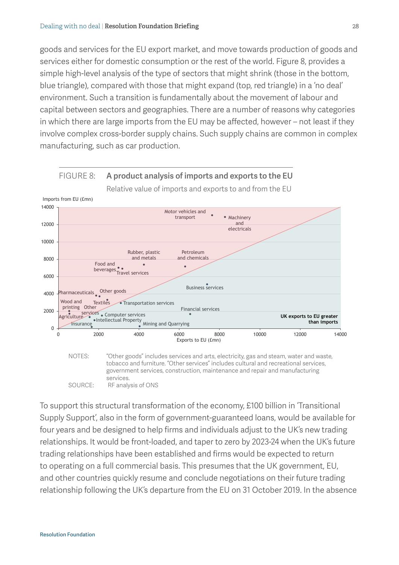services. SOURCE: RF analysis of ONS

goods and services for the EU export market, and move towards production of goods and services either for domestic consumption or the rest of the world. [Figure 8,](#page-27-0) provides a simple high-level analysis of the type of sectors that might shrink (those in the bottom, blue triangle), compared with those that might expand (top, red triangle) in a 'no deal' environment. Such a transition is fundamentally about the movement of labour and capital between sectors and geographies. There are a number of reasons why categories in which there are large imports from the EU may be affected, however – not least if they involve complex cross-border supply chains. Such supply chains are common in complex manufacturing, such as car production.



<span id="page-27-0"></span>FIGURE 8: A product analysis of imports and exports to the EU

To support this structural transformation of the economy, £100 billion in 'Transitional Supply Support', also in the form of government-guaranteed loans, would be available for four years and be designed to help firms and individuals adjust to the UK's new trading relationships. It would be front-loaded, and taper to zero by 2023-24 when the UK's future trading relationships have been established and firms would be expected to return to operating on a full commercial basis. This presumes that the UK government, EU, and other countries quickly resume and conclude negotiations on their future trading relationship following the UK's departure from the EU on 31 October 2019. In the absence

government services, construction, maintenance and repair and manufacturing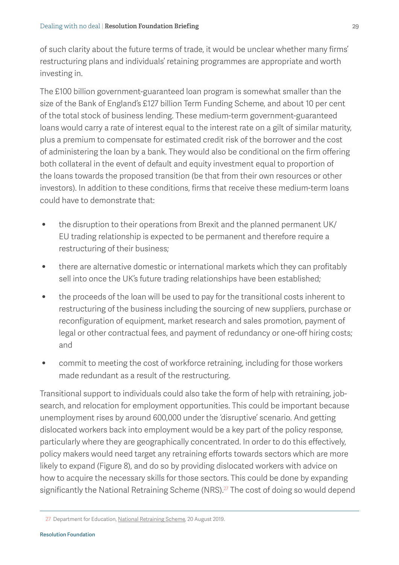of such clarity about the future terms of trade, it would be unclear whether many firms' restructuring plans and individuals' retaining programmes are appropriate and worth investing in.

The £100 billion government-guaranteed loan program is somewhat smaller than the size of the Bank of England's £127 billion Term Funding Scheme, and about 10 per cent of the total stock of business lending. These medium-term government-guaranteed loans would carry a rate of interest equal to the interest rate on a gilt of similar maturity, plus a premium to compensate for estimated credit risk of the borrower and the cost of administering the loan by a bank. They would also be conditional on the firm offering both collateral in the event of default and equity investment equal to proportion of the loans towards the proposed transition (be that from their own resources or other investors). In addition to these conditions, firms that receive these medium-term loans could have to demonstrate that:

- the disruption to their operations from Brexit and the planned permanent UK/ EU trading relationship is expected to be permanent and therefore require a restructuring of their business;
- there are alternative domestic or international markets which they can profitably sell into once the UK's future trading relationships have been established;
- the proceeds of the loan will be used to pay for the transitional costs inherent to restructuring of the business including the sourcing of new suppliers, purchase or reconfiguration of equipment, market research and sales promotion, payment of legal or other contractual fees, and payment of redundancy or one-off hiring costs; and
- commit to meeting the cost of workforce retraining, including for those workers made redundant as a result of the restructuring.

Transitional support to individuals could also take the form of help with retraining, jobsearch, and relocation for employment opportunities. This could be important because unemployment rises by around 600,000 under the 'disruptive' scenario. And getting dislocated workers back into employment would be a key part of the policy response, particularly where they are geographically concentrated. In order to do this effectively, policy makers would need target any retraining efforts towards sectors which are more likely to expand [\(Figure 8](#page-27-0)), and do so by providing dislocated workers with advice on how to acquire the necessary skills for those sectors. This could be done by expanding significantly the National Retraining Scheme (NRS).<sup>27</sup> The cost of doing so would depend

<sup>27</sup> Department for Education, [National Retraining Scheme](https://www.gov.uk/government/publications/national-retraining-scheme/national-retraining-scheme), 20 August 2019.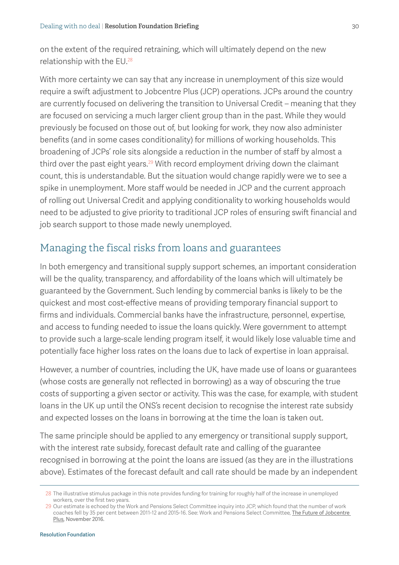on the extent of the required retraining, which will ultimately depend on the new relationship with the EU.28

With more certainty we can say that any increase in unemployment of this size would require a swift adjustment to Jobcentre Plus (JCP) operations. JCPs around the country are currently focused on delivering the transition to Universal Credit – meaning that they are focused on servicing a much larger client group than in the past. While they would previously be focused on those out of, but looking for work, they now also administer benefits (and in some cases conditionality) for millions of working households. This broadening of JCPs' role sits alongside a reduction in the number of staff by almost a third over the past eight years.<sup>29</sup> With record employment driving down the claimant count, this is understandable. But the situation would change rapidly were we to see a spike in unemployment. More staff would be needed in JCP and the current approach of rolling out Universal Credit and applying conditionality to working households would need to be adjusted to give priority to traditional JCP roles of ensuring swift financial and job search support to those made newly unemployed.

## Managing the fiscal risks from loans and guarantees

In both emergency and transitional supply support schemes, an important consideration will be the quality, transparency, and affordability of the loans which will ultimately be guaranteed by the Government. Such lending by commercial banks is likely to be the quickest and most cost-effective means of providing temporary financial support to firms and individuals. Commercial banks have the infrastructure, personnel, expertise, and access to funding needed to issue the loans quickly. Were government to attempt to provide such a large-scale lending program itself, it would likely lose valuable time and potentially face higher loss rates on the loans due to lack of expertise in loan appraisal.

However, a number of countries, including the UK, have made use of loans or guarantees (whose costs are generally not reflected in borrowing) as a way of obscuring the true costs of supporting a given sector or activity. This was the case, for example, with student loans in the UK up until the ONS's recent decision to recognise the interest rate subsidy and expected losses on the loans in borrowing at the time the loan is taken out.

The same principle should be applied to any emergency or transitional supply support, with the interest rate subsidy, forecast default rate and calling of the guarantee recognised in borrowing at the point the loans are issued (as they are in the illustrations above). Estimates of the forecast default and call rate should be made by an independent

<sup>28</sup> The illustrative stimulus package in this note provides funding for training for roughly half of the increase in unemployed workers, over the first two years.

<sup>29</sup> Our estimate is echoed by the Work and Pensions Select Committee inquiry into JCP, which found that the number of work coaches fell by 35 per cent between 2011-12 and 2015-16. See: Work and Pensions Select Committee, [The Future of Jobcentre](https://www.parliament.uk/business/committees/committees-a-z/commons-select/work-and-pensions-committee/inquiries/parliament-2015/jobcentre-plus-future-15-16/)  [Plus,](https://www.parliament.uk/business/committees/committees-a-z/commons-select/work-and-pensions-committee/inquiries/parliament-2015/jobcentre-plus-future-15-16/) November 2016.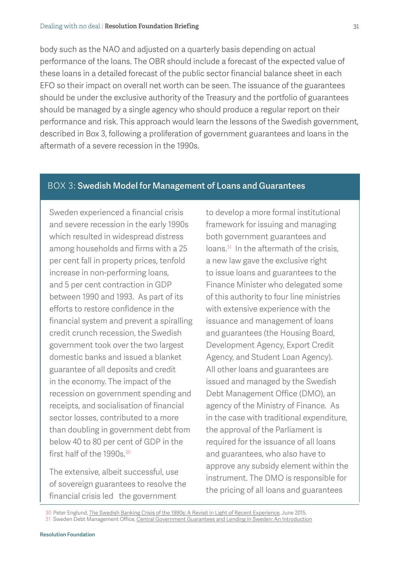body such as the NAO and adjusted on a quarterly basis depending on actual performance of the loans. The OBR should include a forecast of the expected value of these loans in a detailed forecast of the public sector financial balance sheet in each EFO so their impact on overall net worth can be seen. The issuance of the guarantees should be under the exclusive authority of the Treasury and the portfolio of guarantees should be managed by a single agency who should produce a regular report on their performance and risk. This approach would learn the lessons of the Swedish government, described in [Box 3](#page-30-0), following a proliferation of government guarantees and loans in the aftermath of a severe recession in the 1990s.

#### <span id="page-30-0"></span>BOX 3: Swedish Model for Management of Loans and Guarantees

Sweden experienced a financial crisis and severe recession in the early 1990s which resulted in widespread distress among households and firms with a 25 per cent fall in property prices, tenfold increase in non-performing loans, and 5 per cent contraction in GDP between 1990 and 1993. As part of its efforts to restore confidence in the financial system and prevent a spiralling credit crunch recession, the Swedish government took over the two largest domestic banks and issued a blanket guarantee of all deposits and credit in the economy. The impact of the recession on government spending and receipts, and socialisation of financial sector losses, contributed to a more than doubling in government debt from below 40 to 80 per cent of GDP in the first half of the 1990s.<sup>30</sup>

The extensive, albeit successful, use of sovereign guarantees to resolve the financial crisis led the government

to develop a more formal institutional framework for issuing and managing both government guarantees and loans.<sup>31</sup> In the aftermath of the crisis, a new law gave the exclusive right to issue loans and guarantees to the Finance Minister who delegated some of this authority to four line ministries with extensive experience with the issuance and management of loans and guarantees (the Housing Board, Development Agency, Export Credit Agency, and Student Loan Agency). All other loans and guarantees are issued and managed by the Swedish Debt Management Office (DMO), an agency of the Ministry of Finance. As in the case with traditional expenditure, the approval of the Parliament is required for the issuance of all loans and guarantees, who also have to approve any subsidy element within the instrument. The DMO is responsible for the pricing of all loans and guarantees

30 Peter Englund, [The Swedish Banking Crisis of the 1990s: A Revisit in Light of Recent Experience](http://archive.riksbank.se/Documents/Avdelningar/AFS/2015/Session%201%20-%20Englund.pdf), June 2015. 31 Sweden Debt Management Office, [Central Government Guarantees and Lending in Sweden: An Introduction](https://www.riksgalden.se/globalassets/dokument_eng/about/reports/central-government-guarantees-and-lending-an-introduction.pdf)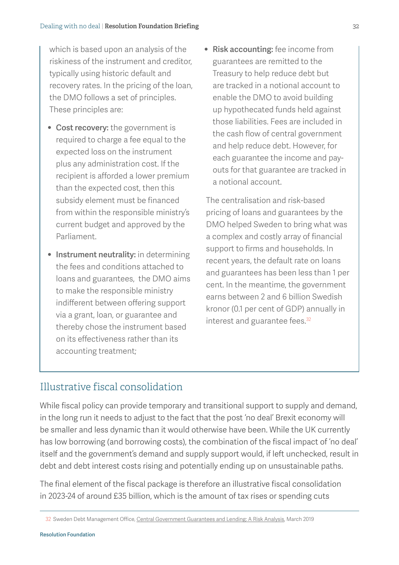which is based upon an analysis of the riskiness of the instrument and creditor, typically using historic default and recovery rates. In the pricing of the loan, the DMO follows a set of principles. These principles are:

- Cost recovery: the government is required to charge a fee equal to the expected loss on the instrument plus any administration cost. If the recipient is afforded a lower premium than the expected cost, then this subsidy element must be financed from within the responsible ministry's current budget and approved by the Parliament.
- Instrument neutrality: in determining the fees and conditions attached to loans and guarantees, the DMO aims to make the responsible ministry indifferent between offering support via a grant, loan, or guarantee and thereby chose the instrument based on its effectiveness rather than its accounting treatment;

• Risk accounting: fee income from guarantees are remitted to the Treasury to help reduce debt but are tracked in a notional account to enable the DMO to avoid building up hypothecated funds held against those liabilities. Fees are included in the cash flow of central government and help reduce debt. However, for each guarantee the income and payouts for that guarantee are tracked in a notional account.

The centralisation and risk-based pricing of loans and guarantees by the DMO helped Sweden to bring what was a complex and costly array of financial support to firms and households. In recent years, the default rate on loans and guarantees has been less than 1 per cent. In the meantime, the government earns between 2 and 6 billion Swedish kronor (0.1 per cent of GDP) annually in interest and guarantee fees.32

## Illustrative fiscal consolidation

While fiscal policy can provide temporary and transitional support to supply and demand, in the long run it needs to adjust to the fact that the post 'no deal' Brexit economy will be smaller and less dynamic than it would otherwise have been. While the UK currently has low borrowing (and borrowing costs), the combination of the fiscal impact of 'no deal' itself and the government's demand and supply support would, if left unchecked, result in debt and debt interest costs rising and potentially ending up on unsustainable paths.

The final element of the fiscal package is therefore an illustrative fiscal consolidation in 2023-24 of around £35 billion, which is the amount of tax rises or spending cuts

<sup>32</sup> Sweden Debt Management Office, [Central Government Guarantees and Lending: A Risk Analysis](https://www.riksgalden.se/contentassets/a6f17c2d4772480898578cb97f51ce33/central-government-guarantees-and-lending-a-risk-analysis-2019.pdf), March 2019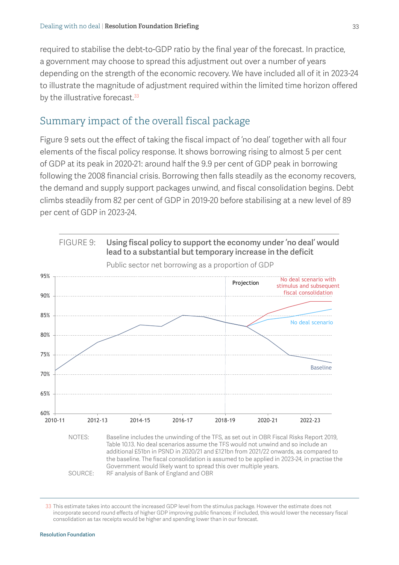required to stabilise the debt-to-GDP ratio by the final year of the forecast. In practice, a government may choose to spread this adjustment out over a number of years depending on the strength of the economic recovery. We have included all of it in 2023-24 to illustrate the magnitude of adjustment required within the limited time horizon offered by the illustrative forecast.<sup>33</sup>

#### Summary impact of the overall fiscal package

[Figure 9](#page-32-0) sets out the effect of taking the fiscal impact of 'no deal' together with all four elements of the fiscal policy response. It shows borrowing rising to almost 5 per cent of GDP at its peak in 2020-21: around half the 9.9 per cent of GDP peak in borrowing following the 2008 financial crisis. Borrowing then falls steadily as the economy recovers, the demand and supply support packages unwind, and fiscal consolidation begins. Debt climbs steadily from 82 per cent of GDP in 2019-20 before stabilising at a new level of 89 per cent of GDP in 2023-24.

<span id="page-32-0"></span>

<sup>33</sup> This estimate takes into account the increased GDP level from the stimulus package. However the estimate does not incorporate second round effects of higher GDP improving public finances; if included, this would lower the necessary fiscal consolidation as tax receipts would be higher and spending lower than in our forecast.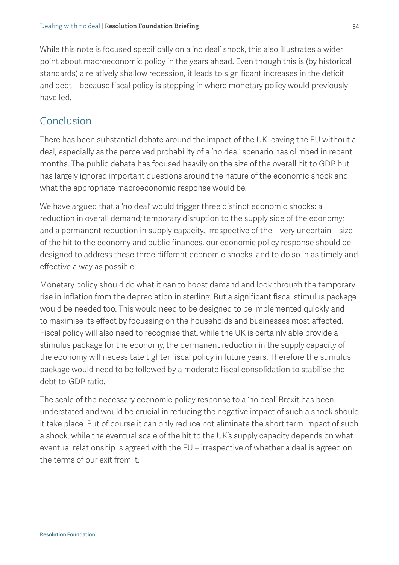While this note is focused specifically on a 'no deal' shock, this also illustrates a wider point about macroeconomic policy in the years ahead. Even though this is (by historical standards) a relatively shallow recession, it leads to significant increases in the deficit and debt – because fiscal policy is stepping in where monetary policy would previously have led.

## Conclusion

There has been substantial debate around the impact of the UK leaving the EU without a deal, especially as the perceived probability of a 'no deal' scenario has climbed in recent months. The public debate has focused heavily on the size of the overall hit to GDP but has largely ignored important questions around the nature of the economic shock and what the appropriate macroeconomic response would be.

We have argued that a 'no deal' would trigger three distinct economic shocks: a reduction in overall demand; temporary disruption to the supply side of the economy; and a permanent reduction in supply capacity. Irrespective of the – very uncertain – size of the hit to the economy and public finances, our economic policy response should be designed to address these three different economic shocks, and to do so in as timely and effective a way as possible.

Monetary policy should do what it can to boost demand and look through the temporary rise in inflation from the depreciation in sterling. But a significant fiscal stimulus package would be needed too. This would need to be designed to be implemented quickly and to maximise its effect by focussing on the households and businesses most affected. Fiscal policy will also need to recognise that, while the UK is certainly able provide a stimulus package for the economy, the permanent reduction in the supply capacity of the economy will necessitate tighter fiscal policy in future years. Therefore the stimulus package would need to be followed by a moderate fiscal consolidation to stabilise the debt-to-GDP ratio.

The scale of the necessary economic policy response to a 'no deal' Brexit has been understated and would be crucial in reducing the negative impact of such a shock should it take place. But of course it can only reduce not eliminate the short term impact of such a shock, while the eventual scale of the hit to the UK's supply capacity depends on what eventual relationship is agreed with the EU – irrespective of whether a deal is agreed on the terms of our exit from it.